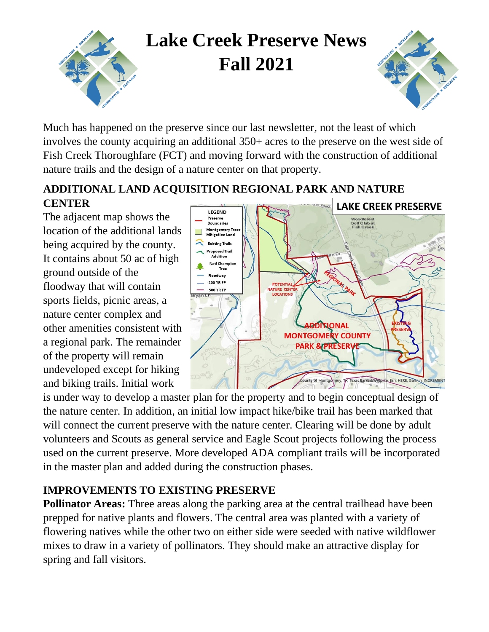

Much has happened on the preserve since our last newsletter, not the least of which involves the county acquiring an additional 350+ acres to the preserve on the west side of Fish Creek Thoroughfare (FCT) and moving forward with the construction of additional nature trails and the design of a nature center on that property.

### **ADDITIONAL LAND ACQUISITION REGIONAL PARK AND NATURE CENTER**

The adjacent map shows the location of the additional lands being acquired by the county. It contains about 50 ac of high ground outside of the floodway that will contain sports fields, picnic areas, a nature center complex and other amenities consistent with a regional park. The remainder of the property will remain undeveloped except for hiking and biking trails. Initial work



is under way to develop a master plan for the property and to begin conceptual design of the nature center. In addition, an initial low impact hike/bike trail has been marked that will connect the current preserve with the nature center. Clearing will be done by adult volunteers and Scouts as general service and Eagle Scout projects following the process used on the current preserve. More developed ADA compliant trails will be incorporated in the master plan and added during the construction phases.

### **IMPROVEMENTS TO EXISTING PRESERVE**

**Pollinator Areas:** Three areas along the parking area at the central trailhead have been prepped for native plants and flowers. The central area was planted with a variety of flowering natives while the other two on either side were seeded with native wildflower mixes to draw in a variety of pollinators. They should make an attractive display for spring and fall visitors.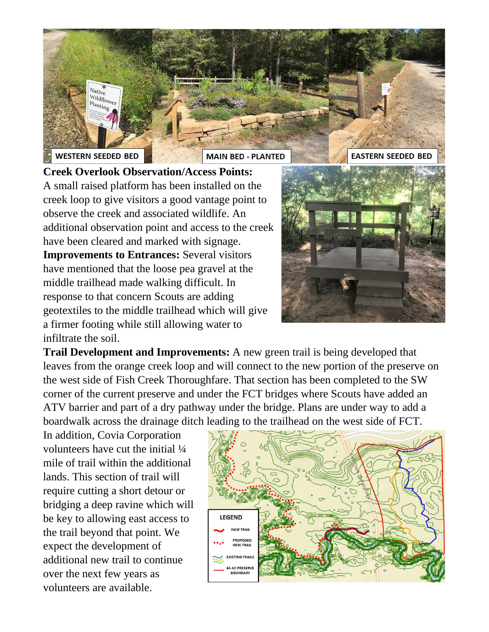

**Creek Overlook Observation/Access Points:**  A small raised platform has been installed on the creek loop to give visitors a good vantage point to observe the creek and associated wildlife. An additional observation point and access to the creek have been cleared and marked with signage. **Improvements to Entrances:** Several visitors have mentioned that the loose pea gravel at the middle trailhead made walking difficult. In response to that concern Scouts are adding geotextiles to the middle trailhead which will give a firmer footing while still allowing water to infiltrate the soil.



**Trail Development and Improvements:** A new green trail is being developed that leaves from the orange creek loop and will connect to the new portion of the preserve on the west side of Fish Creek Thoroughfare. That section has been completed to the SW corner of the current preserve and under the FCT bridges where Scouts have added an ATV barrier and part of a dry pathway under the bridge. Plans are under way to add a boardwalk across the drainage ditch leading to the trailhead on the west side of FCT.

In addition, Covia Corporation volunteers have cut the initial ¼ mile of trail within the additional lands. This section of trail will require cutting a short detour or bridging a deep ravine which will be key to allowing east access to the trail beyond that point. We expect the development of additional new trail to continue over the next few years as volunteers are available.

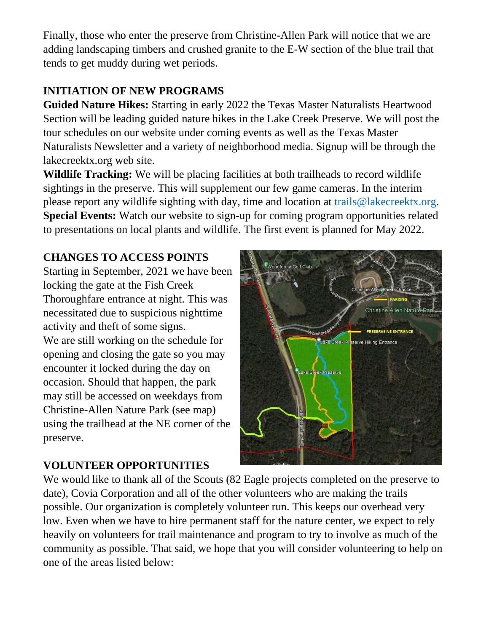Finally, those who enter the preserve from Christine-Allen Park will notice that we are adding landscaping timbers and crushed granite to the E-W section of the blue trail that tends to get muddy during wet periods.

# **INITIATION OF NEW PROGRAMS**

**Guided Nature Hikes:** Starting in early 2022 the Texas Master Naturalists Heartwood Section will be leading guided nature hikes in the Lake Creek Preserve. We will post the tour schedules on our website under coming events as well as the Texas Master Naturalists Newsletter and a variety of neighborhood media. Signup will be through the lakecreektx.org web site.

**Wildlife Tracking:** We will be placing facilities at both trailheads to record wildlife sightings in the preserve. This will supplement our few game cameras. In the interim please report any wildlife sighting with day, time and location at [trails@lakecreektx.org.](mailto:trails@lakecreektx.org) **Special Events:** Watch our website to sign-up for coming program opportunities related to presentations on local plants and wildlife. The first event is planned for May 2022.

# **CHANGES TO ACCESS POINTS**

Starting in September, 2021 we have been locking the gate at the Fish Creek Thoroughfare entrance at night. This was necessitated due to suspicious nighttime activity and theft of some signs. We are still working on the schedule for opening and closing the gate so you may encounter it locked during the day on occasion. Should that happen, the park may still be accessed on weekdays from Christine-Allen Nature Park (see map) using the trailhead at the NE corner of the preserve.

# Christine Allen Natu **Lake Creek P Reserve Hiking Entrance**

# **VOLUNTEER OPPORTUNITIES**

We would like to thank all of the Scouts (82 Eagle projects completed on the preserve to date), Covia Corporation and all of the other volunteers who are making the trails possible. Our organization is completely volunteer run. This keeps our overhead very low. Even when we have to hire permanent staff for the nature center, we expect to rely heavily on volunteers for trail maintenance and program to try to involve as much of the community as possible. That said, we hope that you will consider volunteering to help on one of the areas listed below: